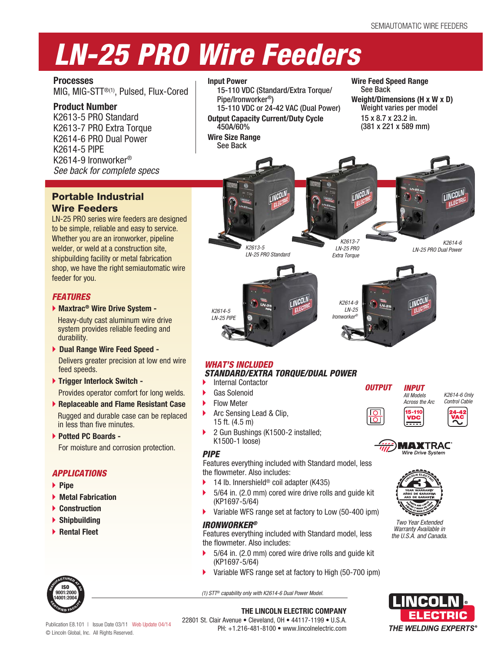## *LN-25 PRO Wire Feeders*

**Processes** MIG, MIG-STT®(1), Pulsed, Flux-Cored

#### **Product Number**

K2613-5 PRO Standard K2613-7 PRO Extra Torque K2614-6 PRO Dual Power K2614-5 PIPE K2614-9 Ironworker® *See back for complete specs*

#### Portable Industrial Wire Feeders

LN-25 PRO series wire feeders are designed to be simple, reliable and easy to service. Whether you are an ironworker, pipeline welder, or weld at a construction site, shipbuilding facility or metal fabrication shop, we have the right semiautomatic wire feeder for you.

#### *FEATURES*

**Maxtrac® Wire Drive System -**

Heavy-duty cast aluminum wire drive system provides reliable feeding and durability.

 **Dual Range Wire Feed Speed -** Delivers greater precision at low end wire

feed speeds.

- **Trigger Interlock Switch -** Provides operator comfort for long welds.
- **Replaceable and Flame Resistant Case**  Rugged and durable case can be replaced in less than five minutes.
- **Potted PC Boards -**

For moisture and corrosion protection.

#### *APPLICATIONS*

- **Pipe**
- **Metal Fabrication**
- **Construction**
- **Shipbuilding**
- **Rental Fleet**



#### **Input Power**

15-110 VDC (Standard/Extra Torque/ Pipe/Ironworker®)

15-110 VDC or 24-42 VAC (Dual Power) **Output Capacity Current/Duty Cycle** 450A/60%

**Wire Size Range** See Back

**Wire Feed Speed Range** See Back **Weight/Dimensions (H x W x D)** Weight varies per model 15 x 8.7 x 23.2 in. (381 x 221 x 589 mm)





*LN-25 PRO Standard*

*K2613-5* 

*K2613-7 LN-25 PRO Extra Torque*

*K2614-6 LN-25 PRO Dual Power*



# **ICOL**

#### *WHAT'S INCLUDED STANDARD/EXTRA TORQUE/DUAL POWER*

- Internal Contactor
- Gas Solenoid
- Flow Meter

*K2614-5 LN-25 PIPE*

- Arc Sensing Lead & Clip, 15 ft. (4.5 m)
- 2 Gun Bushings (K1500-2 installed; K1500-1 loose)

#### *PIPE*

Features everything included with Standard model, less the flowmeter. Also includes:

- 14 lb. Innershield® coil adapter (K435)
- 5/64 in. (2.0 mm) cored wire drive rolls and guide kit (KP1697-5/64)
- Variable WFS range set at factory to Low (50-400 ipm)

#### *IRONWORKER®*

Features everything included with Standard model, less the flowmeter. Also includes:

- 5/64 in. (2.0 mm) cored wire drive rolls and guide kit (KP1697-5/64)
- Variable WFS range set at factory to High (50-700 ipm)

*(1) STT® capability only with K2614-6 Dual Power Model.*









*Two Year Extended Warranty Available in the U.S.A. and Canada.*



Publication E8.101 | Issue Date 03/11 Web Update 04/14 © Lincoln Global, Inc. All Rights Reserved.

**THE LINCOLN ELECTRIC COMPANY** 22801 St. Clair Avenue • Cleveland, OH • 44117-1199 • U.S.A.

PH: +1.216-481-8100 • www.lincolnelectric.com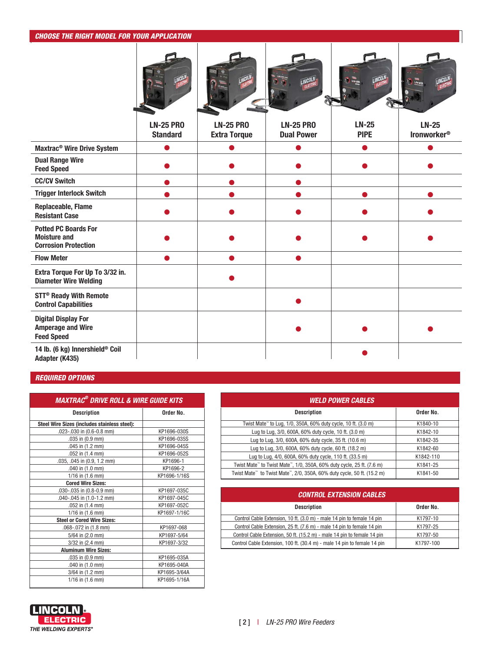#### *CHOOSE THE RIGHT MODEL FOR YOUR APPLICATION*





| 侧<br><b>ELECTRO</b> | a, |  |
|---------------------|----|--|
|                     |    |  |
|                     |    |  |

|                                                                                   | <b>LN-25 PRO</b><br><b>Standard</b> | <b>LN-25 PRO</b><br><b>Extra Torque</b> | <b>LN-25 PRO</b><br><b>Dual Power</b> | <b>LN-25</b><br><b>PIPE</b> | <b>LN-25</b><br><b>Ironworker®</b> |
|-----------------------------------------------------------------------------------|-------------------------------------|-----------------------------------------|---------------------------------------|-----------------------------|------------------------------------|
| Maxtrac <sup>®</sup> Wire Drive System                                            |                                     |                                         |                                       |                             |                                    |
| <b>Dual Range Wire</b><br><b>Feed Speed</b>                                       |                                     |                                         |                                       |                             |                                    |
| <b>CC/CV Switch</b>                                                               |                                     |                                         |                                       |                             |                                    |
| <b>Trigger Interlock Switch</b>                                                   |                                     |                                         |                                       |                             |                                    |
| Replaceable, Flame<br><b>Resistant Case</b>                                       |                                     |                                         |                                       |                             |                                    |
| <b>Potted PC Boards For</b><br><b>Moisture and</b><br><b>Corrosion Protection</b> |                                     |                                         |                                       |                             |                                    |
| <b>Flow Meter</b>                                                                 |                                     |                                         |                                       |                             |                                    |
| Extra Torque For Up To 3/32 in.<br><b>Diameter Wire Welding</b>                   |                                     |                                         |                                       |                             |                                    |
| <b>STT<sup>®</sup> Ready With Remote</b><br><b>Control Capabilities</b>           |                                     |                                         |                                       |                             |                                    |
| <b>Digital Display For</b><br><b>Amperage and Wire</b><br><b>Feed Speed</b>       |                                     |                                         |                                       |                             |                                    |
| 14 lb. (6 kg) Innershield® Coil<br>Adapter (K435)                                 |                                     |                                         |                                       |                             |                                    |

#### *REQUIRED OPTIONS*

| <b>MAXTRAC<sup>®</sup> DRIVE ROLL &amp; WIRE GUIDE KITS</b> |              |  |  |  |  |  |  |
|-------------------------------------------------------------|--------------|--|--|--|--|--|--|
| <b>Description</b>                                          | Order No.    |  |  |  |  |  |  |
| Steel Wire Sizes (includes stainless steel):                |              |  |  |  |  |  |  |
| .023-.030 in (0.6-0.8 mm)                                   | KP1696-030S  |  |  |  |  |  |  |
| $.035$ in $(0.9$ mm)                                        | KP1696-035S  |  |  |  |  |  |  |
| .045 in $(1.2 \text{ mm})$                                  | KP1696-045S  |  |  |  |  |  |  |
| $.052$ in $(1.4$ mm)                                        | KP1696-052S  |  |  |  |  |  |  |
| .035, .045 in (0.9, 1.2 mm)                                 | KP1696-1     |  |  |  |  |  |  |
| .040 in (1.0 mm)                                            | KP1696-2     |  |  |  |  |  |  |
| $1/16$ in $(1.6$ mm)                                        | KP1696-1/16S |  |  |  |  |  |  |
| <b>Cored Wire Sizes:</b>                                    |              |  |  |  |  |  |  |
| .030-.035 in (0.8-0.9 mm)                                   | KP1697-035C  |  |  |  |  |  |  |
| .040-.045 in (1.0-1.2 mm)                                   | KP1697-045C  |  |  |  |  |  |  |
| .052 in $(1.4 \text{ mm})$                                  | KP1697-052C  |  |  |  |  |  |  |
| 1/16 in (1.6 mm)                                            | KP1697-1/16C |  |  |  |  |  |  |
| <b>Steel or Cored Wire Sizes:</b>                           |              |  |  |  |  |  |  |
| .068-.072 in (1.8 mm)                                       | KP1697-068   |  |  |  |  |  |  |
| 5/64 in (2.0 mm)                                            | KP1697-5/64  |  |  |  |  |  |  |
| $3/32$ in $(2.4$ mm)                                        | KP1697-3/32  |  |  |  |  |  |  |
| <b>Aluminum Wire Sizes:</b>                                 |              |  |  |  |  |  |  |
| .035 in (0.9 mm)                                            | KP1695-035A  |  |  |  |  |  |  |
| .040 in (1.0 mm)                                            | KP1695-040A  |  |  |  |  |  |  |
| 3/64 in (1.2 mm)                                            | KP1695-3/64A |  |  |  |  |  |  |
| $1/16$ in $(1.6$ mm)                                        | KP1695-1/16A |  |  |  |  |  |  |

| <b><i>WELD POWER CABLES</i></b>                                                                 |           |
|-------------------------------------------------------------------------------------------------|-----------|
| <b>Description</b>                                                                              | Order No. |
| Twist Mate <sup>™</sup> to Lug, 1/0, 350A, 60% duty cycle, 10 ft. (3.0 m)                       | K1840-10  |
| Lug to Lug, 3/0, 600A, 60% duty cycle, 10 ft. (3.0 m)                                           | K1842-10  |
| Lug to Lug, 3/0, 600A, 60% duty cycle, 35 ft. (10.6 m)                                          | K1842-35  |
| Lug to Lug, 3/0, 600A, 60% duty cycle, 60 ft. (18.2 m)                                          | K1842-60  |
| Lug to Lug, 4/0, 600A, 60% duty cycle, 110 ft. (33.5 m)                                         | K1842-110 |
| Twist Mate" to Twist Mate", 1/0, 350A, 60% duty cycle, 25 ft. (7.6 m)                           | K1841-25  |
| Twist Mate <sup>™</sup> to Twist Mate <sup>™</sup> , 2/0, 350A, 60% duty cycle, 50 ft. (15.2 m) | K1841-50  |

| <b>CONTROL EXTENSION CABLES</b>                                          |           |  |  |  |  |  |
|--------------------------------------------------------------------------|-----------|--|--|--|--|--|
| <b>Description</b>                                                       | Order No. |  |  |  |  |  |
| Control Cable Extension, 10 ft. (3.0 m) - male 14 pin to female 14 pin   | K1797-10  |  |  |  |  |  |
| Control Cable Extension, 25 ft. (7.6 m) - male 14 pin to female 14 pin   | K1797-25  |  |  |  |  |  |
| Control Cable Extension, 50 ft. (15.2 m) - male 14 pin to female 14 pin  | K1797-50  |  |  |  |  |  |
| Control Cable Extension, 100 ft. (30.4 m) - male 14 pin to female 14 pin | K1797-100 |  |  |  |  |  |

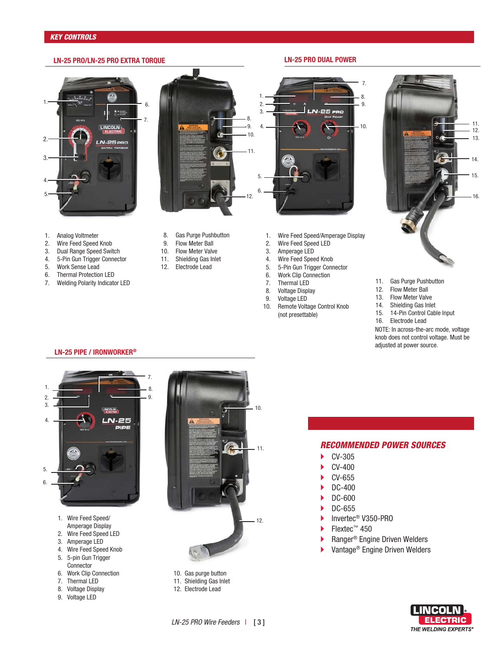#### **LN-25 PRO/LN-25 PRO EXTRA TORQUE LN-25 PRO DUAL POWER**

### $\sum_{i=1}^{n}$ 1. 6.  $\ddot{\phantom{a}}$ LINCOLN 2. N-25 PRO 3. 4. 5.



- 1. Analog Voltmeter<br>2. Wire Feed Speed
- Wire Feed Speed Knob
- 3. Dual Range Speed Switch
- 4. 5-Pin Gun Trigger Connector
- Work Sense Lead
- 6. Thermal Protection LED
- 7. Welding Polarity Indicator LED
- 8. Gas Purge Pushbutton<br>9. Flow Meter Ball
- Flow Meter Ball
- 10. Flow Meter Valve
- 11. Shielding Gas Inlet
- 12. Electrode Lead
- 1. Wire Feed Speed/Amperage Display<br>2. Wire Feed Speed LED
- Wire Feed Speed LED
- 3. Amperage LED
- 4. Wire Feed Speed Knob
- 5. 5-Pin Gun Trigger Connector<br>6. Work Clip Connection
- 
- 6. Work Clip Connection<br>7. Thermal LED 7. Thermal LED
- 8. Voltage Display
- 9. Voltage LED
- 10. Remote Voltage Control Knob (not presettable)



- 11. Gas Purge Pushbutton<br>12. Flow Meter Ball
- Flow Meter Ball

7. 8. 9.

10.

- 13. Flow Meter Valve
- 14. Shielding Gas Inlet<br>15. 14-Pin Control Cab
- 14-Pin Control Cable Input
- 16. Electrode Lead

NOTE: In across-the-arc mode, voltage knob does not control voltage. Must be adjusted at power source.



- 1. Wire Feed Speed/
- Amperage Display
- 2. Wire Feed Speed LED
- 3. Amperage LED
- 4. Wire Feed Speed Knob 5. 5-pin Gun Trigger
- **Connector**
- 6. Work Clip Connection
- 7. Thermal LED
- 8. Voltage Display
- 9. Voltage LED



- 10. Gas purge button
- 11. Shielding Gas Inlet
- 12. Electrode Lead

#### *RECOMMENDED POWER SOURCES* CV-305

- CV-400
- CV-655
- 
- $\blacktriangleright$  DC-400  $\blacktriangleright$  DC-600
- 
- $\blacktriangleright$  DC-655
- ▶ Invertec<sup>®</sup> V350-PRO
- ▶ Flextec™ 450
- Ranger® Engine Driven Welders
- ▶ Vantage<sup>®</sup> Engine Driven Welders



**LN-25 PIPE / IRONWORKER®**